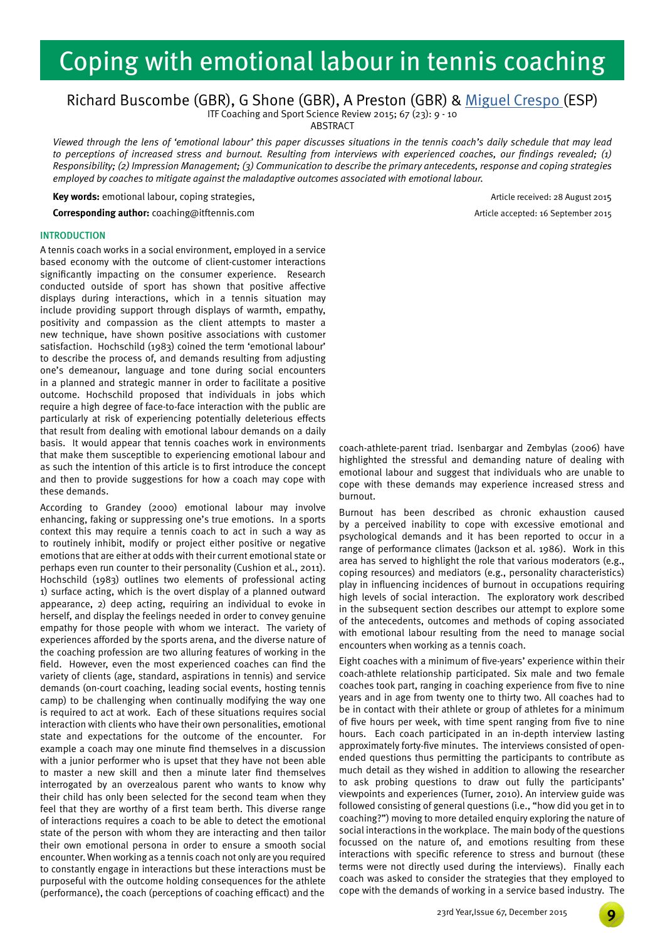# Coping with emotional labour in tennis coaching

## Richard Buscombe (GBR), G Shone (GBR), A Preston (GBR) & [Miguel Crespo](http://www.tennisicoach.com/en/icoach-experts/Miguel%20Crespo.aspx) (ESP)

ITF Coaching and Sport Science Review 2015; 67 (23): 9 - 10

ABSTRACT

*Viewed through the lens of 'emotional labour' this paper discusses situations in the tennis coach's daily schedule that may lead to perceptions of increased stress and burnout. Resulting from interviews with experienced coaches, our findings revealed; (1) Responsibility; (2) Impression Management; (3) Communication to describe the primary antecedents, response and coping strategies employed by coaches to mitigate against the maladaptive outcomes associated with emotional labour.* 

**Key words:** emotional labour, coping strategies, Article received: 28 August 2015

**Corresponding author:** coaching@itftennis.com **Article accepted: 16 September 2015** Article accepted: 16 September 2015

#### **INTRODUCTION**

A tennis coach works in a social environment, employed in a service based economy with the outcome of client-customer interactions significantly impacting on the consumer experience. Research conducted outside of sport has shown that positive affective displays during interactions, which in a tennis situation may include providing support through displays of warmth, empathy, positivity and compassion as the client attempts to master a new technique, have shown positive associations with customer satisfaction. Hochschild (1983) coined the term 'emotional labour' to describe the process of, and demands resulting from adjusting one's demeanour, language and tone during social encounters in a planned and strategic manner in order to facilitate a positive outcome. Hochschild proposed that individuals in jobs which require a high degree of face-to-face interaction with the public are particularly at risk of experiencing potentially deleterious effects that result from dealing with emotional labour demands on a daily basis. It would appear that tennis coaches work in environments that make them susceptible to experiencing emotional labour and as such the intention of this article is to first introduce the concept and then to provide suggestions for how a coach may cope with these demands.

According to Grandey (2000) emotional labour may involve enhancing, faking or suppressing one's true emotions. In a sports context this may require a tennis coach to act in such a way as to routinely inhibit, modify or project either positive or negative emotions that are either at odds with their current emotional state or perhaps even run counter to their personality (Cushion et al., 2011). Hochschild (1983) outlines two elements of professional acting 1) surface acting, which is the overt display of a planned outward appearance, 2) deep acting, requiring an individual to evoke in herself, and display the feelings needed in order to convey genuine empathy for those people with whom we interact. The variety of experiences afforded by the sports arena, and the diverse nature of the coaching profession are two alluring features of working in the field. However, even the most experienced coaches can find the variety of clients (age, standard, aspirations in tennis) and service demands (on-court coaching, leading social events, hosting tennis camp) to be challenging when continually modifying the way one is required to act at work. Each of these situations requires social interaction with clients who have their own personalities, emotional state and expectations for the outcome of the encounter. For example a coach may one minute find themselves in a discussion with a junior performer who is upset that they have not been able to master a new skill and then a minute later find themselves interrogated by an overzealous parent who wants to know why their child has only been selected for the second team when they feel that they are worthy of a first team berth. This diverse range of interactions requires a coach to be able to detect the emotional state of the person with whom they are interacting and then tailor their own emotional persona in order to ensure a smooth social encounter. When working as a tennis coach not only are you required to constantly engage in interactions but these interactions must be purposeful with the outcome holding consequences for the athlete (performance), the coach (perceptions of coaching efficact) and the



coach-athlete-parent triad. Isenbargar and Zembylas (2006) have highlighted the stressful and demanding nature of dealing with emotional labour and suggest that individuals who are unable to cope with these demands may experience increased stress and burnout.

Burnout has been described as chronic exhaustion caused by a perceived inability to cope with excessive emotional and psychological demands and it has been reported to occur in a range of performance climates (Jackson et al. 1986). Work in this area has served to highlight the role that various moderators (e.g., coping resources) and mediators (e.g., personality characteristics) play in influencing incidences of burnout in occupations requiring high levels of social interaction. The exploratory work described in the subsequent section describes our attempt to explore some of the antecedents, outcomes and methods of coping associated with emotional labour resulting from the need to manage social encounters when working as a tennis coach.

Eight coaches with a minimum of five-years' experience within their coach-athlete relationship participated. Six male and two female coaches took part, ranging in coaching experience from five to nine years and in age from twenty one to thirty two. All coaches had to be in contact with their athlete or group of athletes for a minimum of five hours per week, with time spent ranging from five to nine hours. Each coach participated in an in-depth interview lasting approximately forty-five minutes. The interviews consisted of openended questions thus permitting the participants to contribute as much detail as they wished in addition to allowing the researcher to ask probing questions to draw out fully the participants' viewpoints and experiences (Turner, 2010). An interview guide was followed consisting of general questions (i.e., "how did you get in to coaching?") moving to more detailed enquiry exploring the nature of social interactions in the workplace. The main body of the questions focussed on the nature of, and emotions resulting from these interactions with specific reference to stress and burnout (these terms were not directly used during the interviews). Finally each coach was asked to consider the strategies that they employed to cope with the demands of working in a service based industry. The